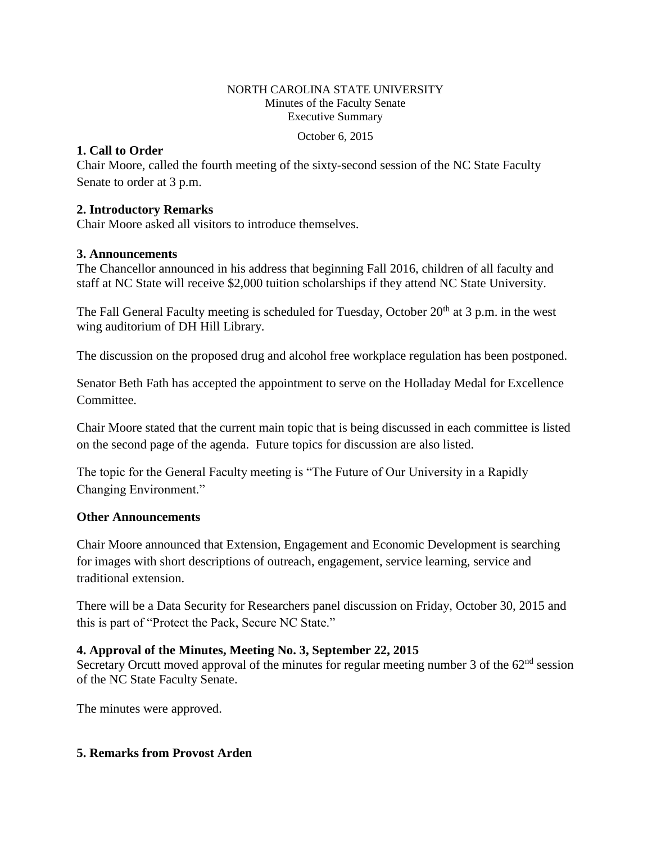#### NORTH CAROLINA STATE UNIVERSITY Minutes of the Faculty Senate Executive Summary

October 6, 2015

### **1. Call to Order**

Chair Moore, called the fourth meeting of the sixty-second session of the NC State Faculty Senate to order at 3 p.m.

### **2. Introductory Remarks**

Chair Moore asked all visitors to introduce themselves.

### **3. Announcements**

The Chancellor announced in his address that beginning Fall 2016, children of all faculty and staff at NC State will receive \$2,000 tuition scholarships if they attend NC State University.

The Fall General Faculty meeting is scheduled for Tuesday, October 20<sup>th</sup> at 3 p.m. in the west wing auditorium of DH Hill Library.

The discussion on the proposed drug and alcohol free workplace regulation has been postponed.

Senator Beth Fath has accepted the appointment to serve on the Holladay Medal for Excellence Committee.

Chair Moore stated that the current main topic that is being discussed in each committee is listed on the second page of the agenda. Future topics for discussion are also listed.

The topic for the General Faculty meeting is "The Future of Our University in a Rapidly Changing Environment."

### **Other Announcements**

Chair Moore announced that Extension, Engagement and Economic Development is searching for images with short descriptions of outreach, engagement, service learning, service and traditional extension.

There will be a Data Security for Researchers panel discussion on Friday, October 30, 2015 and this is part of "Protect the Pack, Secure NC State."

# **4. Approval of the Minutes, Meeting No. 3, September 22, 2015**

Secretary Orcutt moved approval of the minutes for regular meeting number 3 of the  $62<sup>nd</sup>$  session of the NC State Faculty Senate.

The minutes were approved.

# **5. Remarks from Provost Arden**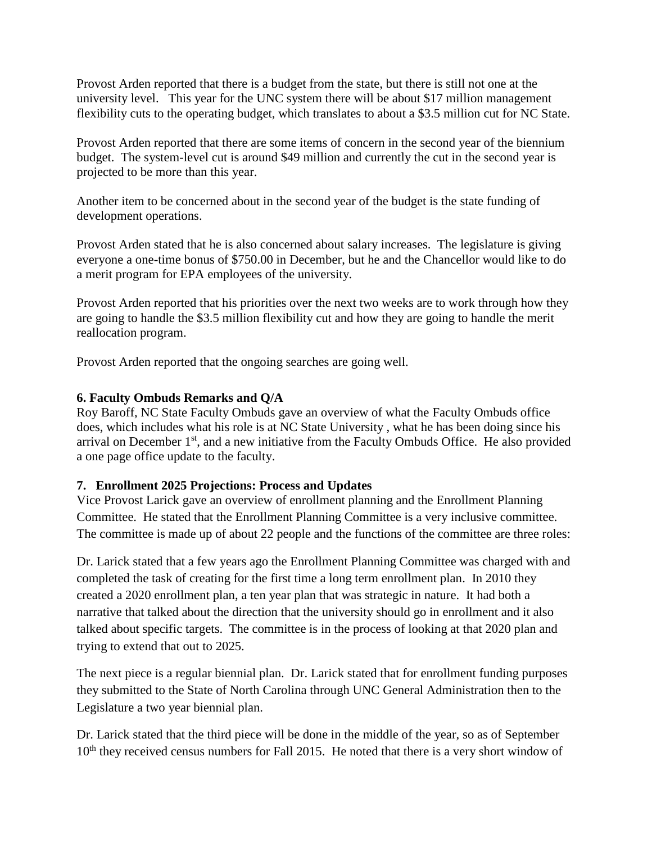Provost Arden reported that there is a budget from the state, but there is still not one at the university level. This year for the UNC system there will be about \$17 million management flexibility cuts to the operating budget, which translates to about a \$3.5 million cut for NC State.

Provost Arden reported that there are some items of concern in the second year of the biennium budget. The system-level cut is around \$49 million and currently the cut in the second year is projected to be more than this year.

Another item to be concerned about in the second year of the budget is the state funding of development operations.

Provost Arden stated that he is also concerned about salary increases. The legislature is giving everyone a one-time bonus of \$750.00 in December, but he and the Chancellor would like to do a merit program for EPA employees of the university.

Provost Arden reported that his priorities over the next two weeks are to work through how they are going to handle the \$3.5 million flexibility cut and how they are going to handle the merit reallocation program.

Provost Arden reported that the ongoing searches are going well.

# **6. Faculty Ombuds Remarks and Q/A**

Roy Baroff, NC State Faculty Ombuds gave an overview of what the Faculty Ombuds office does, which includes what his role is at NC State University , what he has been doing since his arrival on December  $1<sup>st</sup>$ , and a new initiative from the Faculty Ombuds Office. He also provided a one page office update to the faculty.

# **7. Enrollment 2025 Projections: Process and Updates**

Vice Provost Larick gave an overview of enrollment planning and the Enrollment Planning Committee. He stated that the Enrollment Planning Committee is a very inclusive committee. The committee is made up of about 22 people and the functions of the committee are three roles:

Dr. Larick stated that a few years ago the Enrollment Planning Committee was charged with and completed the task of creating for the first time a long term enrollment plan. In 2010 they created a 2020 enrollment plan, a ten year plan that was strategic in nature. It had both a narrative that talked about the direction that the university should go in enrollment and it also talked about specific targets. The committee is in the process of looking at that 2020 plan and trying to extend that out to 2025.

The next piece is a regular biennial plan. Dr. Larick stated that for enrollment funding purposes they submitted to the State of North Carolina through UNC General Administration then to the Legislature a two year biennial plan.

Dr. Larick stated that the third piece will be done in the middle of the year, so as of September 10<sup>th</sup> they received census numbers for Fall 2015. He noted that there is a very short window of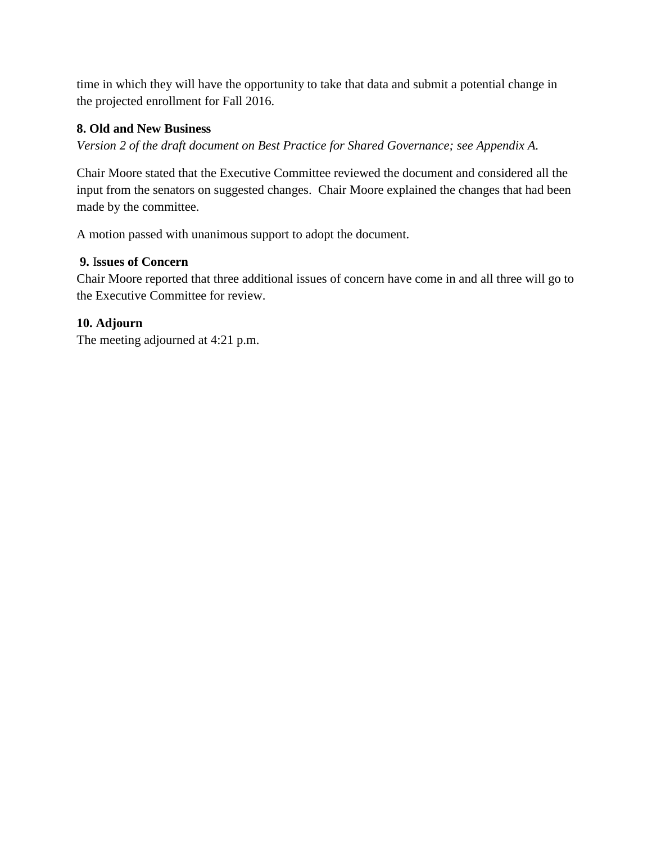time in which they will have the opportunity to take that data and submit a potential change in the projected enrollment for Fall 2016.

# **8. Old and New Business**

*Version 2 of the draft document on Best Practice for Shared Governance; see Appendix A.* 

Chair Moore stated that the Executive Committee reviewed the document and considered all the input from the senators on suggested changes. Chair Moore explained the changes that had been made by the committee.

A motion passed with unanimous support to adopt the document.

# **9.** I**ssues of Concern**

Chair Moore reported that three additional issues of concern have come in and all three will go to the Executive Committee for review.

# **10. Adjourn**

The meeting adjourned at 4:21 p.m.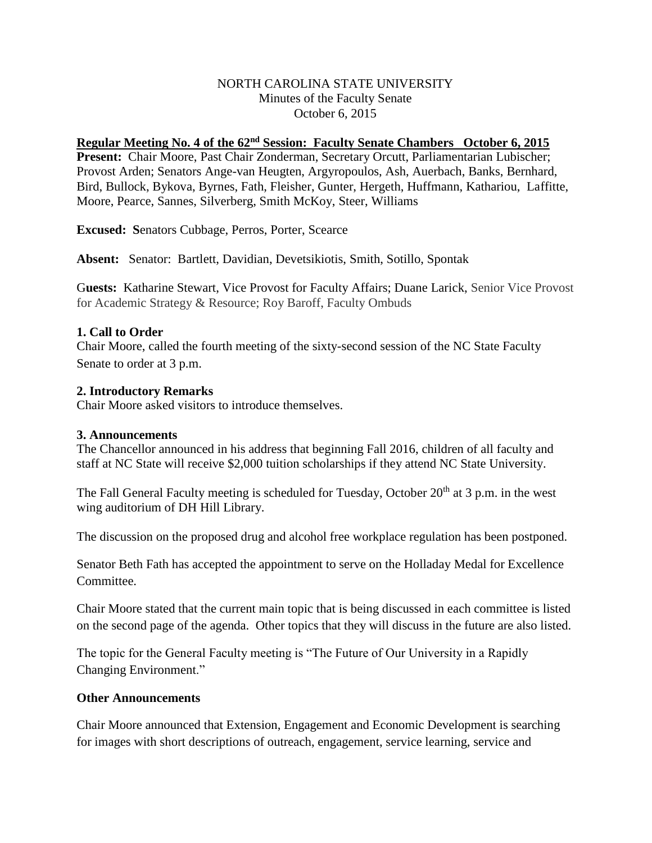### NORTH CAROLINA STATE UNIVERSITY Minutes of the Faculty Senate October 6, 2015

### **Regular Meeting No. 4 of the 62nd Session: Faculty Senate Chambers October 6, 2015**

Present: Chair Moore, Past Chair Zonderman, Secretary Orcutt, Parliamentarian Lubischer; Provost Arden; Senators Ange-van Heugten, Argyropoulos, Ash, Auerbach, Banks, Bernhard, Bird, Bullock, Bykova, Byrnes, Fath, Fleisher, Gunter, Hergeth, Huffmann, Kathariou, Laffitte, Moore, Pearce, Sannes, Silverberg, Smith McKoy, Steer, Williams

**Excused: S**enators Cubbage, Perros, Porter, Scearce

**Absent:** Senator: Bartlett, Davidian, Devetsikiotis, Smith, Sotillo, Spontak

G**uests:** Katharine Stewart, Vice Provost for Faculty Affairs; Duane Larick, Senior Vice Provost for Academic Strategy & Resource; Roy Baroff, Faculty Ombuds

### **1. Call to Order**

Chair Moore, called the fourth meeting of the sixty-second session of the NC State Faculty Senate to order at 3 p.m.

### **2. Introductory Remarks**

Chair Moore asked visitors to introduce themselves.

#### **3. Announcements**

The Chancellor announced in his address that beginning Fall 2016, children of all faculty and staff at NC State will receive \$2,000 tuition scholarships if they attend NC State University.

The Fall General Faculty meeting is scheduled for Tuesday, October 20<sup>th</sup> at 3 p.m. in the west wing auditorium of DH Hill Library.

The discussion on the proposed drug and alcohol free workplace regulation has been postponed.

Senator Beth Fath has accepted the appointment to serve on the Holladay Medal for Excellence Committee.

Chair Moore stated that the current main topic that is being discussed in each committee is listed on the second page of the agenda. Other topics that they will discuss in the future are also listed.

The topic for the General Faculty meeting is "The Future of Our University in a Rapidly Changing Environment."

### **Other Announcements**

Chair Moore announced that Extension, Engagement and Economic Development is searching for images with short descriptions of outreach, engagement, service learning, service and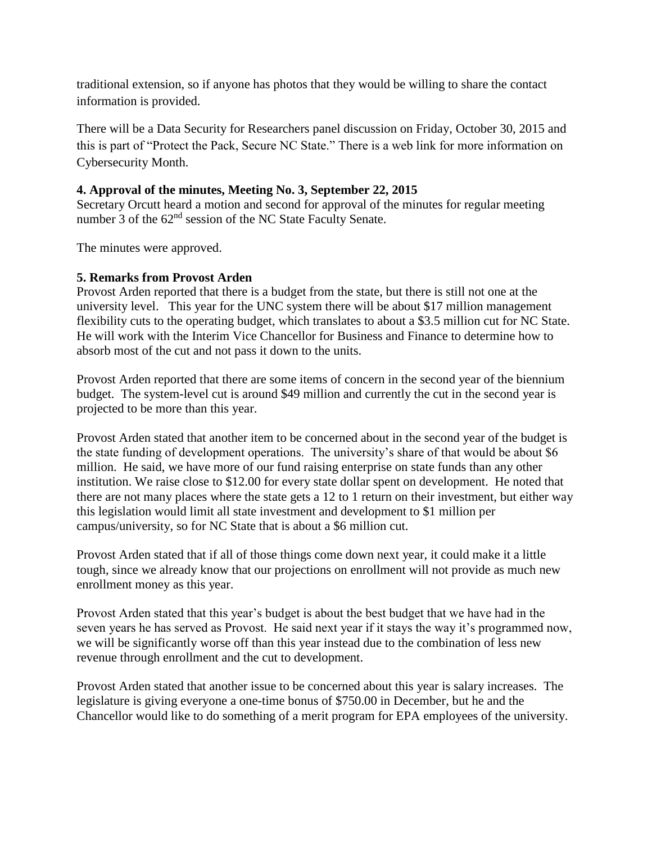traditional extension, so if anyone has photos that they would be willing to share the contact information is provided.

There will be a Data Security for Researchers panel discussion on Friday, October 30, 2015 and this is part of "Protect the Pack, Secure NC State." There is a web link for more information on Cybersecurity Month.

### **4. Approval of the minutes, Meeting No. 3, September 22, 2015**

Secretary Orcutt heard a motion and second for approval of the minutes for regular meeting number 3 of the 62<sup>nd</sup> session of the NC State Faculty Senate.

The minutes were approved.

### **5. Remarks from Provost Arden**

Provost Arden reported that there is a budget from the state, but there is still not one at the university level. This year for the UNC system there will be about \$17 million management flexibility cuts to the operating budget, which translates to about a \$3.5 million cut for NC State. He will work with the Interim Vice Chancellor for Business and Finance to determine how to absorb most of the cut and not pass it down to the units.

Provost Arden reported that there are some items of concern in the second year of the biennium budget. The system-level cut is around \$49 million and currently the cut in the second year is projected to be more than this year.

Provost Arden stated that another item to be concerned about in the second year of the budget is the state funding of development operations. The university's share of that would be about \$6 million. He said, we have more of our fund raising enterprise on state funds than any other institution. We raise close to \$12.00 for every state dollar spent on development. He noted that there are not many places where the state gets a 12 to 1 return on their investment, but either way this legislation would limit all state investment and development to \$1 million per campus/university, so for NC State that is about a \$6 million cut.

Provost Arden stated that if all of those things come down next year, it could make it a little tough, since we already know that our projections on enrollment will not provide as much new enrollment money as this year.

Provost Arden stated that this year's budget is about the best budget that we have had in the seven years he has served as Provost. He said next year if it stays the way it's programmed now, we will be significantly worse off than this year instead due to the combination of less new revenue through enrollment and the cut to development.

Provost Arden stated that another issue to be concerned about this year is salary increases. The legislature is giving everyone a one-time bonus of \$750.00 in December, but he and the Chancellor would like to do something of a merit program for EPA employees of the university.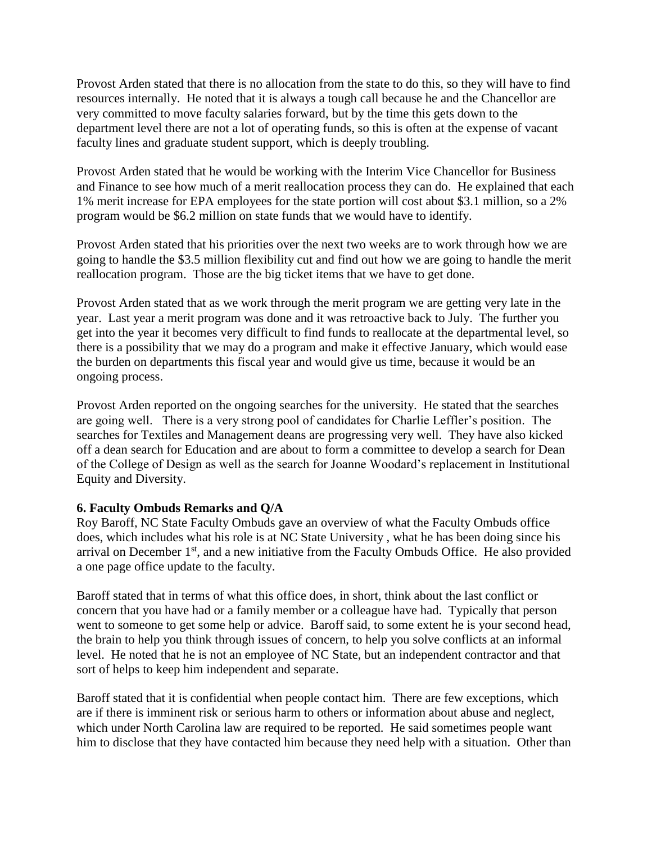Provost Arden stated that there is no allocation from the state to do this, so they will have to find resources internally. He noted that it is always a tough call because he and the Chancellor are very committed to move faculty salaries forward, but by the time this gets down to the department level there are not a lot of operating funds, so this is often at the expense of vacant faculty lines and graduate student support, which is deeply troubling.

Provost Arden stated that he would be working with the Interim Vice Chancellor for Business and Finance to see how much of a merit reallocation process they can do. He explained that each 1% merit increase for EPA employees for the state portion will cost about \$3.1 million, so a 2% program would be \$6.2 million on state funds that we would have to identify.

Provost Arden stated that his priorities over the next two weeks are to work through how we are going to handle the \$3.5 million flexibility cut and find out how we are going to handle the merit reallocation program. Those are the big ticket items that we have to get done.

Provost Arden stated that as we work through the merit program we are getting very late in the year. Last year a merit program was done and it was retroactive back to July. The further you get into the year it becomes very difficult to find funds to reallocate at the departmental level, so there is a possibility that we may do a program and make it effective January, which would ease the burden on departments this fiscal year and would give us time, because it would be an ongoing process.

Provost Arden reported on the ongoing searches for the university. He stated that the searches are going well. There is a very strong pool of candidates for Charlie Leffler's position. The searches for Textiles and Management deans are progressing very well. They have also kicked off a dean search for Education and are about to form a committee to develop a search for Dean of the College of Design as well as the search for Joanne Woodard's replacement in Institutional Equity and Diversity.

### **6. Faculty Ombuds Remarks and Q/A**

Roy Baroff, NC State Faculty Ombuds gave an overview of what the Faculty Ombuds office does, which includes what his role is at NC State University , what he has been doing since his arrival on December  $1<sup>st</sup>$ , and a new initiative from the Faculty Ombuds Office. He also provided a one page office update to the faculty.

Baroff stated that in terms of what this office does, in short, think about the last conflict or concern that you have had or a family member or a colleague have had. Typically that person went to someone to get some help or advice. Baroff said, to some extent he is your second head, the brain to help you think through issues of concern, to help you solve conflicts at an informal level. He noted that he is not an employee of NC State, but an independent contractor and that sort of helps to keep him independent and separate.

Baroff stated that it is confidential when people contact him. There are few exceptions, which are if there is imminent risk or serious harm to others or information about abuse and neglect, which under North Carolina law are required to be reported. He said sometimes people want him to disclose that they have contacted him because they need help with a situation. Other than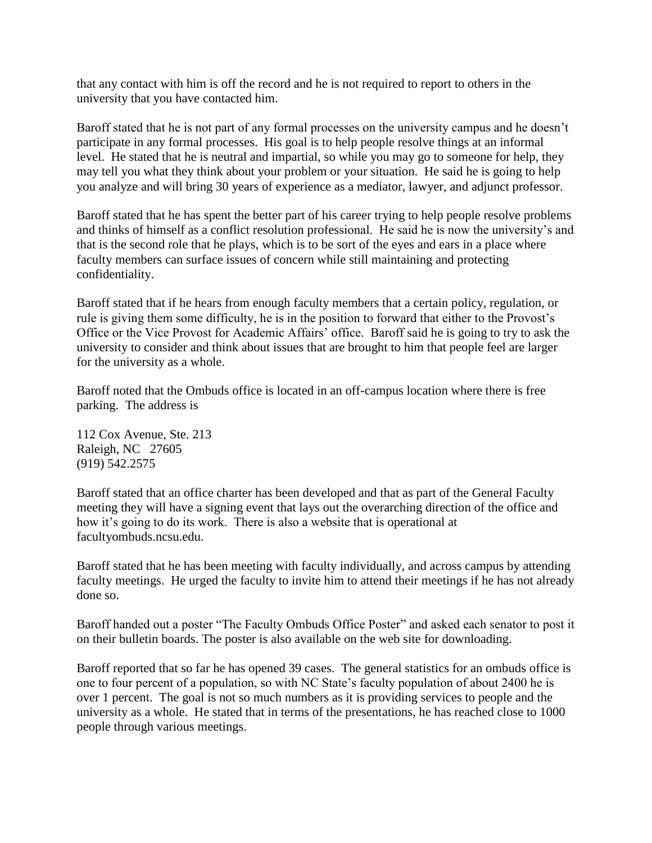that any contact with him is off the record and he is not required to report to others in the university that you have contacted him.

Baroff stated that he is not part of any formal processes on the university campus and he doesn't participate in any formal processes. His goal is to help people resolve things at an informal level. He stated that he is neutral and impartial, so while you may go to someone for help, they may tell you what they think about your problem or your situation. He said he is going to help you analyze and will bring 30 years of experience as a mediator, lawyer, and adjunct professor.

Baroff stated that he has spent the better part of his career trying to help people resolve problems and thinks of himself as a conflict resolution professional. He said he is now the university's and that is the second role that he plays, which is to be sort of the eyes and ears in a place where faculty members can surface issues of concern while still maintaining and protecting confidentiality.

Baroff stated that if he hears from enough faculty members that a certain policy, regulation, or rule is giving them some difficulty, he is in the position to forward that either to the Provost's Office or the Vice Provost for Academic Affairs' office. Baroff said he is going to try to ask the university to consider and think about issues that are brought to him that people feel are larger for the university as a whole.

Baroff noted that the Ombuds office is located in an off-campus location where there is free parking. The address is

112 Cox Avenue, Ste. 213 Raleigh, NC 27605 (919) 542.2575

Baroff stated that an office charter has been developed and that as part of the General Faculty meeting they will have a signing event that lays out the overarching direction of the office and how it's going to do its work. There is also a website that is operational at facultyombuds.ncsu.edu.

Baroff stated that he has been meeting with faculty individually, and across campus by attending faculty meetings. He urged the faculty to invite him to attend their meetings if he has not already done so.

Baroff handed out a poster "The Faculty Ombuds Office Poster" and asked each senator to post it on their bulletin boards. The poster is also available on the web site for downloading.

Baroff reported that so far he has opened 39 cases. The general statistics for an ombuds office is one to four percent of a population, so with NC State's faculty population of about 2400 he is over 1 percent. The goal is not so much numbers as it is providing services to people and the university as a whole. He stated that in terms of the presentations, he has reached close to 1000 people through various meetings.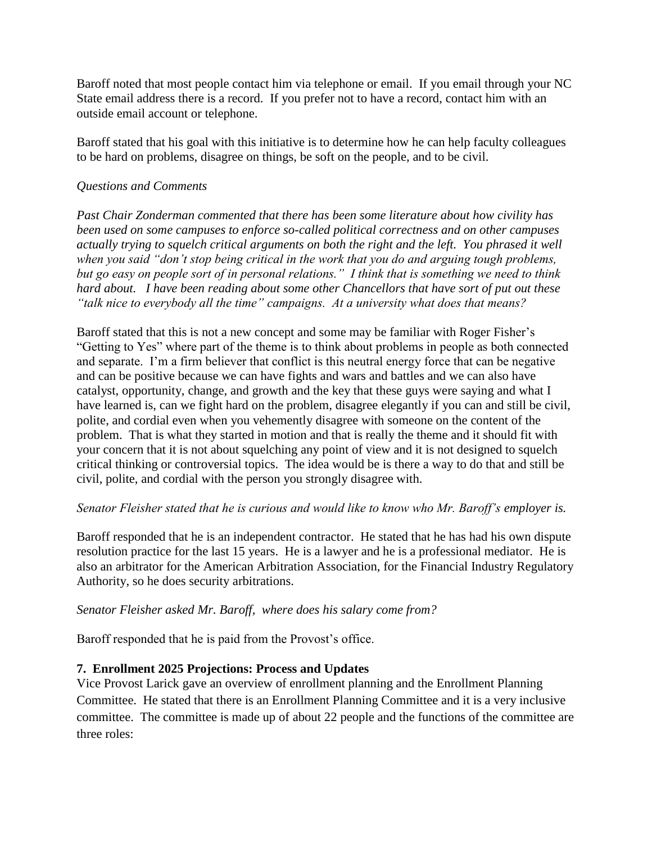Baroff noted that most people contact him via telephone or email. If you email through your NC State email address there is a record. If you prefer not to have a record, contact him with an outside email account or telephone.

Baroff stated that his goal with this initiative is to determine how he can help faculty colleagues to be hard on problems, disagree on things, be soft on the people, and to be civil.

### *Questions and Comments*

*Past Chair Zonderman commented that there has been some literature about how civility has been used on some campuses to enforce so-called political correctness and on other campuses actually trying to squelch critical arguments on both the right and the left. You phrased it well when you said "don't stop being critical in the work that you do and arguing tough problems, but go easy on people sort of in personal relations." I think that is something we need to think hard about. I have been reading about some other Chancellors that have sort of put out these "talk nice to everybody all the time" campaigns. At a university what does that means?* 

Baroff stated that this is not a new concept and some may be familiar with Roger Fisher's "Getting to Yes" where part of the theme is to think about problems in people as both connected and separate. I'm a firm believer that conflict is this neutral energy force that can be negative and can be positive because we can have fights and wars and battles and we can also have catalyst, opportunity, change, and growth and the key that these guys were saying and what I have learned is, can we fight hard on the problem, disagree elegantly if you can and still be civil, polite, and cordial even when you vehemently disagree with someone on the content of the problem. That is what they started in motion and that is really the theme and it should fit with your concern that it is not about squelching any point of view and it is not designed to squelch critical thinking or controversial topics. The idea would be is there a way to do that and still be civil, polite, and cordial with the person you strongly disagree with.

### *Senator Fleisher stated that he is curious and would like to know who Mr. Baroff's employer is.*

Baroff responded that he is an independent contractor. He stated that he has had his own dispute resolution practice for the last 15 years. He is a lawyer and he is a professional mediator. He is also an arbitrator for the American Arbitration Association, for the Financial Industry Regulatory Authority, so he does security arbitrations.

### *Senator Fleisher asked Mr. Baroff, where does his salary come from?*

Baroff responded that he is paid from the Provost's office.

# **7. Enrollment 2025 Projections: Process and Updates**

Vice Provost Larick gave an overview of enrollment planning and the Enrollment Planning Committee. He stated that there is an Enrollment Planning Committee and it is a very inclusive committee. The committee is made up of about 22 people and the functions of the committee are three roles: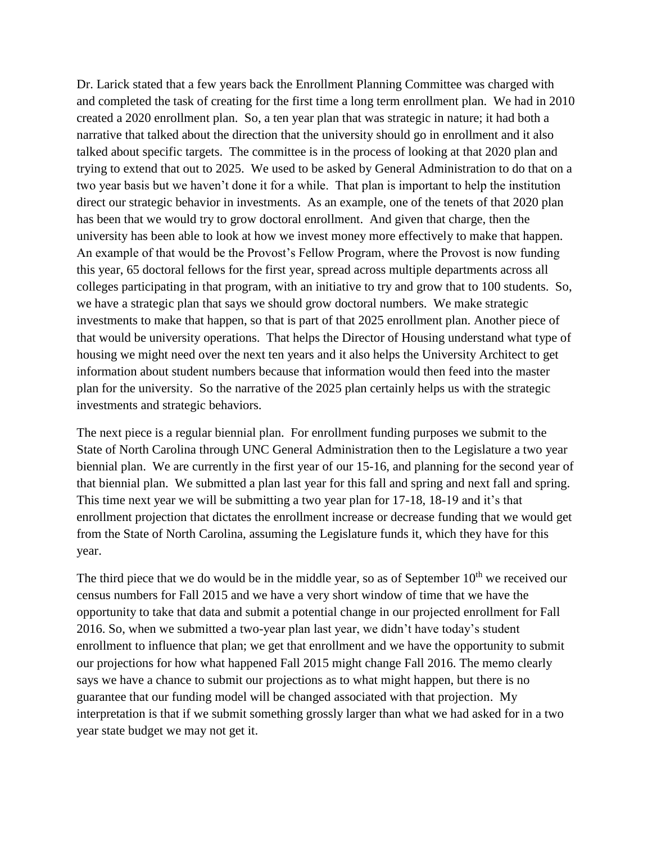Dr. Larick stated that a few years back the Enrollment Planning Committee was charged with and completed the task of creating for the first time a long term enrollment plan. We had in 2010 created a 2020 enrollment plan. So, a ten year plan that was strategic in nature; it had both a narrative that talked about the direction that the university should go in enrollment and it also talked about specific targets. The committee is in the process of looking at that 2020 plan and trying to extend that out to 2025. We used to be asked by General Administration to do that on a two year basis but we haven't done it for a while. That plan is important to help the institution direct our strategic behavior in investments. As an example, one of the tenets of that 2020 plan has been that we would try to grow doctoral enrollment. And given that charge, then the university has been able to look at how we invest money more effectively to make that happen. An example of that would be the Provost's Fellow Program, where the Provost is now funding this year, 65 doctoral fellows for the first year, spread across multiple departments across all colleges participating in that program, with an initiative to try and grow that to 100 students. So, we have a strategic plan that says we should grow doctoral numbers. We make strategic investments to make that happen, so that is part of that 2025 enrollment plan. Another piece of that would be university operations. That helps the Director of Housing understand what type of housing we might need over the next ten years and it also helps the University Architect to get information about student numbers because that information would then feed into the master plan for the university. So the narrative of the 2025 plan certainly helps us with the strategic investments and strategic behaviors.

The next piece is a regular biennial plan. For enrollment funding purposes we submit to the State of North Carolina through UNC General Administration then to the Legislature a two year biennial plan. We are currently in the first year of our 15-16, and planning for the second year of that biennial plan. We submitted a plan last year for this fall and spring and next fall and spring. This time next year we will be submitting a two year plan for 17-18, 18-19 and it's that enrollment projection that dictates the enrollment increase or decrease funding that we would get from the State of North Carolina, assuming the Legislature funds it, which they have for this year.

The third piece that we do would be in the middle year, so as of September  $10<sup>th</sup>$  we received our census numbers for Fall 2015 and we have a very short window of time that we have the opportunity to take that data and submit a potential change in our projected enrollment for Fall 2016. So, when we submitted a two-year plan last year, we didn't have today's student enrollment to influence that plan; we get that enrollment and we have the opportunity to submit our projections for how what happened Fall 2015 might change Fall 2016. The memo clearly says we have a chance to submit our projections as to what might happen, but there is no guarantee that our funding model will be changed associated with that projection. My interpretation is that if we submit something grossly larger than what we had asked for in a two year state budget we may not get it.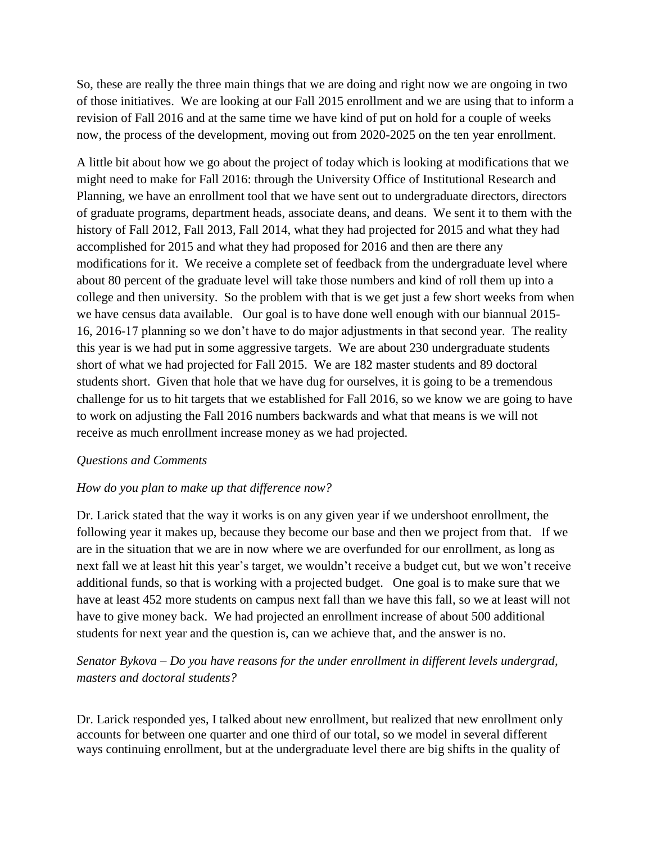So, these are really the three main things that we are doing and right now we are ongoing in two of those initiatives. We are looking at our Fall 2015 enrollment and we are using that to inform a revision of Fall 2016 and at the same time we have kind of put on hold for a couple of weeks now, the process of the development, moving out from 2020-2025 on the ten year enrollment.

A little bit about how we go about the project of today which is looking at modifications that we might need to make for Fall 2016: through the University Office of Institutional Research and Planning, we have an enrollment tool that we have sent out to undergraduate directors, directors of graduate programs, department heads, associate deans, and deans. We sent it to them with the history of Fall 2012, Fall 2013, Fall 2014, what they had projected for 2015 and what they had accomplished for 2015 and what they had proposed for 2016 and then are there any modifications for it. We receive a complete set of feedback from the undergraduate level where about 80 percent of the graduate level will take those numbers and kind of roll them up into a college and then university. So the problem with that is we get just a few short weeks from when we have census data available. Our goal is to have done well enough with our biannual 2015- 16, 2016-17 planning so we don't have to do major adjustments in that second year. The reality this year is we had put in some aggressive targets. We are about 230 undergraduate students short of what we had projected for Fall 2015. We are 182 master students and 89 doctoral students short. Given that hole that we have dug for ourselves, it is going to be a tremendous challenge for us to hit targets that we established for Fall 2016, so we know we are going to have to work on adjusting the Fall 2016 numbers backwards and what that means is we will not receive as much enrollment increase money as we had projected.

# *Questions and Comments*

### *How do you plan to make up that difference now?*

Dr. Larick stated that the way it works is on any given year if we undershoot enrollment, the following year it makes up, because they become our base and then we project from that. If we are in the situation that we are in now where we are overfunded for our enrollment, as long as next fall we at least hit this year's target, we wouldn't receive a budget cut, but we won't receive additional funds, so that is working with a projected budget. One goal is to make sure that we have at least 452 more students on campus next fall than we have this fall, so we at least will not have to give money back. We had projected an enrollment increase of about 500 additional students for next year and the question is, can we achieve that, and the answer is no.

# *Senator Bykova – Do you have reasons for the under enrollment in different levels undergrad, masters and doctoral students?*

Dr. Larick responded yes, I talked about new enrollment, but realized that new enrollment only accounts for between one quarter and one third of our total, so we model in several different ways continuing enrollment, but at the undergraduate level there are big shifts in the quality of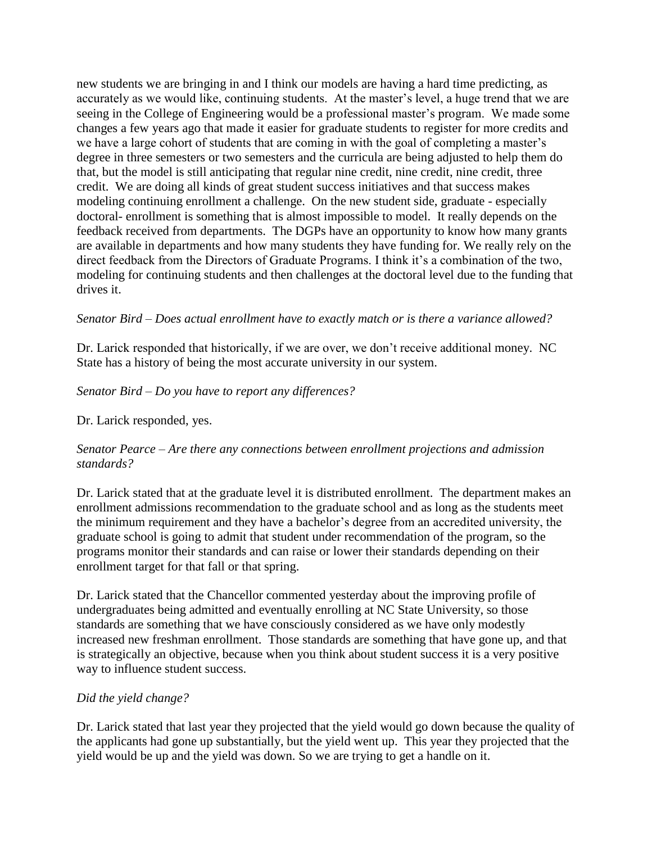new students we are bringing in and I think our models are having a hard time predicting, as accurately as we would like, continuing students. At the master's level, a huge trend that we are seeing in the College of Engineering would be a professional master's program. We made some changes a few years ago that made it easier for graduate students to register for more credits and we have a large cohort of students that are coming in with the goal of completing a master's degree in three semesters or two semesters and the curricula are being adjusted to help them do that, but the model is still anticipating that regular nine credit, nine credit, nine credit, three credit. We are doing all kinds of great student success initiatives and that success makes modeling continuing enrollment a challenge. On the new student side, graduate - especially doctoral- enrollment is something that is almost impossible to model. It really depends on the feedback received from departments. The DGPs have an opportunity to know how many grants are available in departments and how many students they have funding for. We really rely on the direct feedback from the Directors of Graduate Programs. I think it's a combination of the two, modeling for continuing students and then challenges at the doctoral level due to the funding that drives it.

### *Senator Bird – Does actual enrollment have to exactly match or is there a variance allowed?*

Dr. Larick responded that historically, if we are over, we don't receive additional money. NC State has a history of being the most accurate university in our system.

### *Senator Bird – Do you have to report any differences?*

Dr. Larick responded, yes.

### *Senator Pearce – Are there any connections between enrollment projections and admission standards?*

Dr. Larick stated that at the graduate level it is distributed enrollment. The department makes an enrollment admissions recommendation to the graduate school and as long as the students meet the minimum requirement and they have a bachelor's degree from an accredited university, the graduate school is going to admit that student under recommendation of the program, so the programs monitor their standards and can raise or lower their standards depending on their enrollment target for that fall or that spring.

Dr. Larick stated that the Chancellor commented yesterday about the improving profile of undergraduates being admitted and eventually enrolling at NC State University, so those standards are something that we have consciously considered as we have only modestly increased new freshman enrollment. Those standards are something that have gone up, and that is strategically an objective, because when you think about student success it is a very positive way to influence student success.

# *Did the yield change?*

Dr. Larick stated that last year they projected that the yield would go down because the quality of the applicants had gone up substantially, but the yield went up. This year they projected that the yield would be up and the yield was down. So we are trying to get a handle on it.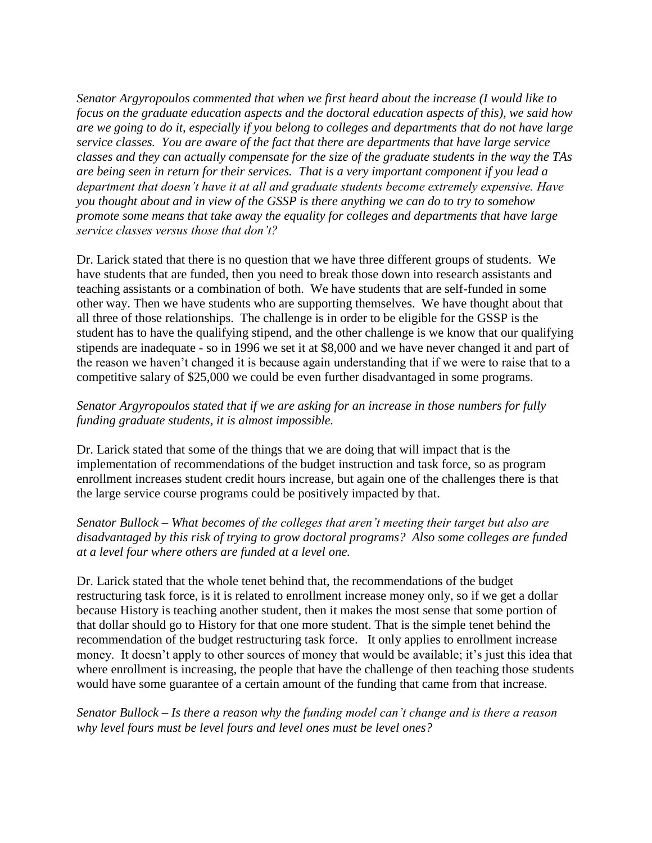*Senator Argyropoulos commented that when we first heard about the increase (I would like to focus on the graduate education aspects and the doctoral education aspects of this), we said how are we going to do it, especially if you belong to colleges and departments that do not have large service classes. You are aware of the fact that there are departments that have large service classes and they can actually compensate for the size of the graduate students in the way the TAs are being seen in return for their services. That is a very important component if you lead a department that doesn't have it at all and graduate students become extremely expensive. Have you thought about and in view of the GSSP is there anything we can do to try to somehow promote some means that take away the equality for colleges and departments that have large service classes versus those that don't?*

Dr. Larick stated that there is no question that we have three different groups of students. We have students that are funded, then you need to break those down into research assistants and teaching assistants or a combination of both. We have students that are self-funded in some other way. Then we have students who are supporting themselves. We have thought about that all three of those relationships. The challenge is in order to be eligible for the GSSP is the student has to have the qualifying stipend, and the other challenge is we know that our qualifying stipends are inadequate - so in 1996 we set it at \$8,000 and we have never changed it and part of the reason we haven't changed it is because again understanding that if we were to raise that to a competitive salary of \$25,000 we could be even further disadvantaged in some programs.

# *Senator Argyropoulos stated that if we are asking for an increase in those numbers for fully funding graduate students, it is almost impossible.*

Dr. Larick stated that some of the things that we are doing that will impact that is the implementation of recommendations of the budget instruction and task force, so as program enrollment increases student credit hours increase, but again one of the challenges there is that the large service course programs could be positively impacted by that.

### *Senator Bullock – What becomes of the colleges that aren't meeting their target but also are disadvantaged by this risk of trying to grow doctoral programs? Also some colleges are funded at a level four where others are funded at a level one.*

Dr. Larick stated that the whole tenet behind that, the recommendations of the budget restructuring task force, is it is related to enrollment increase money only, so if we get a dollar because History is teaching another student, then it makes the most sense that some portion of that dollar should go to History for that one more student. That is the simple tenet behind the recommendation of the budget restructuring task force. It only applies to enrollment increase money. It doesn't apply to other sources of money that would be available; it's just this idea that where enrollment is increasing, the people that have the challenge of then teaching those students would have some guarantee of a certain amount of the funding that came from that increase.

# *Senator Bullock – Is there a reason why the funding model can't change and is there a reason why level fours must be level fours and level ones must be level ones?*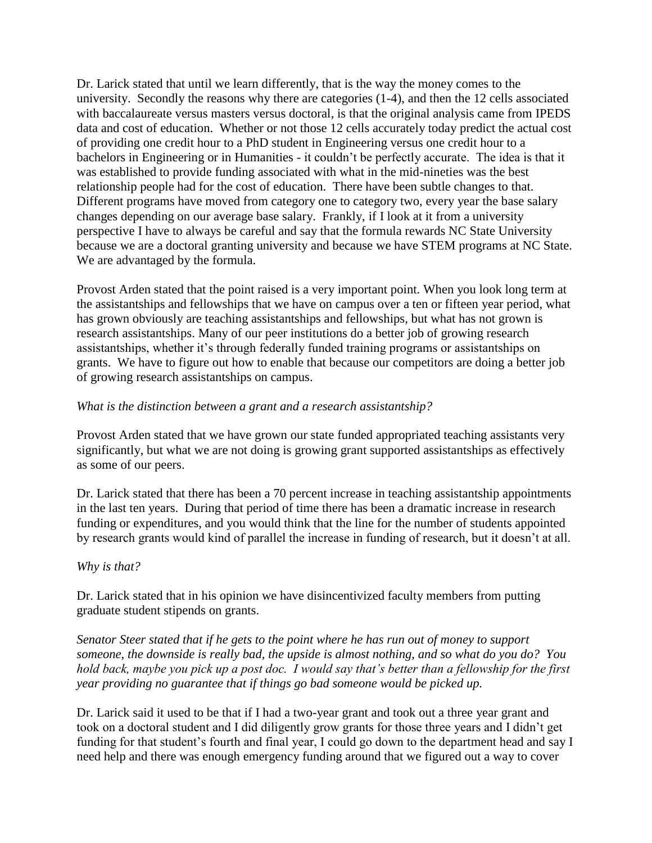Dr. Larick stated that until we learn differently, that is the way the money comes to the university. Secondly the reasons why there are categories (1-4), and then the 12 cells associated with baccalaureate versus masters versus doctoral, is that the original analysis came from IPEDS data and cost of education. Whether or not those 12 cells accurately today predict the actual cost of providing one credit hour to a PhD student in Engineering versus one credit hour to a bachelors in Engineering or in Humanities - it couldn't be perfectly accurate. The idea is that it was established to provide funding associated with what in the mid-nineties was the best relationship people had for the cost of education. There have been subtle changes to that. Different programs have moved from category one to category two, every year the base salary changes depending on our average base salary. Frankly, if I look at it from a university perspective I have to always be careful and say that the formula rewards NC State University because we are a doctoral granting university and because we have STEM programs at NC State. We are advantaged by the formula.

Provost Arden stated that the point raised is a very important point. When you look long term at the assistantships and fellowships that we have on campus over a ten or fifteen year period, what has grown obviously are teaching assistantships and fellowships, but what has not grown is research assistantships. Many of our peer institutions do a better job of growing research assistantships, whether it's through federally funded training programs or assistantships on grants. We have to figure out how to enable that because our competitors are doing a better job of growing research assistantships on campus.

### *What is the distinction between a grant and a research assistantship?*

Provost Arden stated that we have grown our state funded appropriated teaching assistants very significantly, but what we are not doing is growing grant supported assistantships as effectively as some of our peers.

Dr. Larick stated that there has been a 70 percent increase in teaching assistantship appointments in the last ten years. During that period of time there has been a dramatic increase in research funding or expenditures, and you would think that the line for the number of students appointed by research grants would kind of parallel the increase in funding of research, but it doesn't at all.

### *Why is that?*

Dr. Larick stated that in his opinion we have disincentivized faculty members from putting graduate student stipends on grants.

*Senator Steer stated that if he gets to the point where he has run out of money to support someone, the downside is really bad, the upside is almost nothing, and so what do you do? You hold back, maybe you pick up a post doc. I would say that's better than a fellowship for the first year providing no guarantee that if things go bad someone would be picked up.* 

Dr. Larick said it used to be that if I had a two-year grant and took out a three year grant and took on a doctoral student and I did diligently grow grants for those three years and I didn't get funding for that student's fourth and final year, I could go down to the department head and say I need help and there was enough emergency funding around that we figured out a way to cover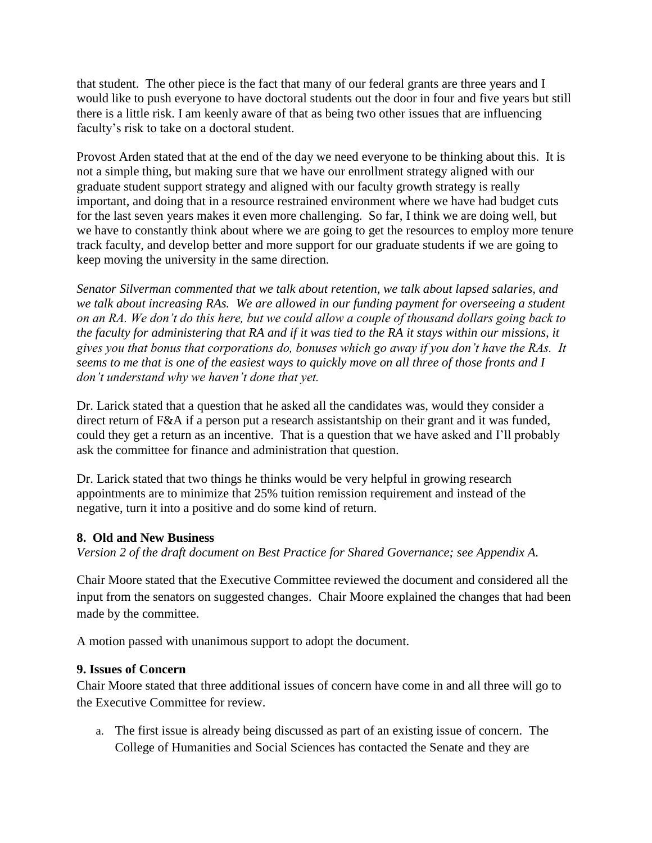that student. The other piece is the fact that many of our federal grants are three years and I would like to push everyone to have doctoral students out the door in four and five years but still there is a little risk. I am keenly aware of that as being two other issues that are influencing faculty's risk to take on a doctoral student.

Provost Arden stated that at the end of the day we need everyone to be thinking about this. It is not a simple thing, but making sure that we have our enrollment strategy aligned with our graduate student support strategy and aligned with our faculty growth strategy is really important, and doing that in a resource restrained environment where we have had budget cuts for the last seven years makes it even more challenging. So far, I think we are doing well, but we have to constantly think about where we are going to get the resources to employ more tenure track faculty, and develop better and more support for our graduate students if we are going to keep moving the university in the same direction.

*Senator Silverman commented that we talk about retention, we talk about lapsed salaries, and we talk about increasing RAs. We are allowed in our funding payment for overseeing a student on an RA. We don't do this here, but we could allow a couple of thousand dollars going back to the faculty for administering that RA and if it was tied to the RA it stays within our missions, it gives you that bonus that corporations do, bonuses which go away if you don't have the RAs. It seems to me that is one of the easiest ways to quickly move on all three of those fronts and I don't understand why we haven't done that yet.* 

Dr. Larick stated that a question that he asked all the candidates was, would they consider a direct return of F&A if a person put a research assistantship on their grant and it was funded, could they get a return as an incentive. That is a question that we have asked and I'll probably ask the committee for finance and administration that question.

Dr. Larick stated that two things he thinks would be very helpful in growing research appointments are to minimize that 25% tuition remission requirement and instead of the negative, turn it into a positive and do some kind of return.

# **8. Old and New Business**

*Version 2 of the draft document on Best Practice for Shared Governance; see Appendix A.* 

Chair Moore stated that the Executive Committee reviewed the document and considered all the input from the senators on suggested changes. Chair Moore explained the changes that had been made by the committee.

A motion passed with unanimous support to adopt the document.

### **9. Issues of Concern**

Chair Moore stated that three additional issues of concern have come in and all three will go to the Executive Committee for review.

a. The first issue is already being discussed as part of an existing issue of concern. The College of Humanities and Social Sciences has contacted the Senate and they are